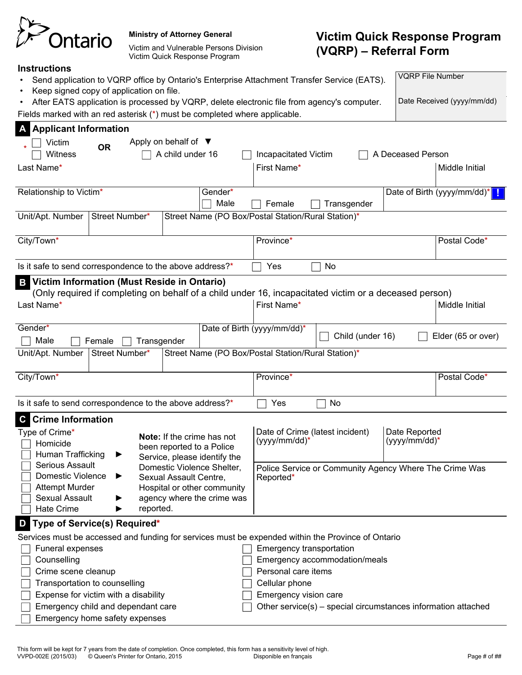| Ontario |
|---------|

#### **Ministry of Attorney General**

Victim and Vulnerable Persons Division Victim Quick Response Program

# **Victim Quick Response Program (VQRP) ‒ Referral Form**

Date Received (yyyy/mm/dd)

|  |  |  |  | Instructions |  |
|--|--|--|--|--------------|--|
|  |  |  |  |              |  |

|  |  |  | Send application to VQRP office by Ontario's Enterprise Attachment Transfer Service (EATS). | <b>VQRP File Number</b> |
|--|--|--|---------------------------------------------------------------------------------------------|-------------------------|
|  |  |  |                                                                                             |                         |

- Keep signed copy of application on file.
- After EATS application is processed by VQRP, delete electronic file from agency's computer. Fields marked with an red asterisk (\*) must be completed where applicable.

**A Applicant Information** Victim **Witness OR** Apply on behalf of ▼<br> **OR** A child under 16 Incapacitated Victim  $\Box$  A Deceased Person Last Name\* |First Name\* |Middle Initial Relationship to Victim<sup>\*</sup> The Conderting of Gender<sup>\*</sup> Male  $\Box$  Female  $\Box$  Transgender Date of Birth (yyyy/mm/dd)\* **!** Unit/Apt. Number Street Number\* Street Name (PO Box/Postal Station/Rural Station)\* City/Town\* Province\* Postal Code\* Is it safe to send correspondence to the above address?\*  $\Box$  Yes  $\Box$  No **Victim Information (Must Reside in Ontario) B** (Only required if completing on behalf of a child under 16, incapacitated victim or a deceased person) Last Name\* |First Name\* |Middle Initial Gender\*  $\Box$  Male  $\Box$  Female  $\Box$  Transgender Date of Birth (yyyy/mm/dd)<sup>\*</sup> $\Box$  Child (under 16)  $\Box$  Elder (65 or over) Unit/Apt. Number Street Number\* Street Name (PO Box/Postal Station/Rural Station)\* City/Town\* Province\* Postal Code\* Is it safe to send correspondence to the above address?\*  $\Box$  Yes  $\Box$  No **C Crime Information** Type of Crime\* Homicide Human Trafficking Serious Assault Domestic Violence Attempt Murder Sexual Assault Hate Crime **Note:** If the crime has not been reported to a Police Service, please identify the Domestic Violence Shelter, Sexual Assault Centre, Hospital or other community agency where the crime was reported. Date of Crime (latest incident) (yyyy/mm/dd)\* Date Reported (yyyy/mm/dd)\* Police Service or Community Agency Where The Crime Was Reported\* **D Type of Service(s) Required\*** Services must be accessed and funding for services must be expended within the Province of Ontario Funeral expenses **Counselling**  $\sqsupset$  Crime scene cleanup  $\Box$  Transportation to counselling Expense for victim with a disability Emergency transportation Emergency accommodation/meals Personal care items Cellular phone Emergency vision care

Emergency child and dependant care

Other service(s) – special circumstances information attached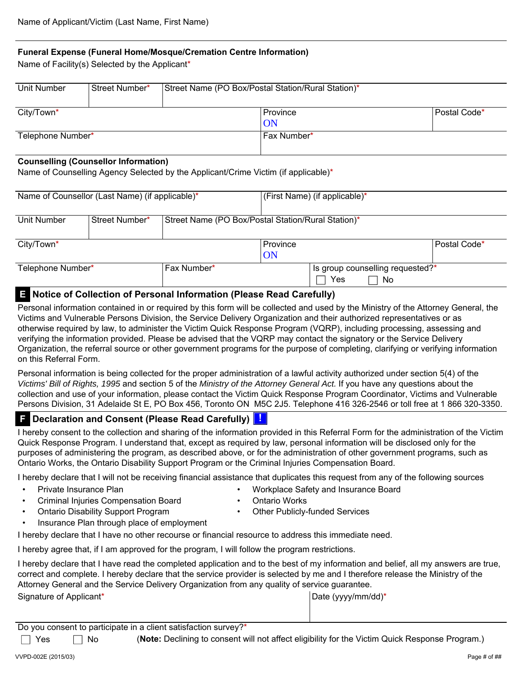#### **Funeral Expense (Funeral Home/Mosque/Cremation Centre Information)**

Name of Facility(s) Selected by the Applicant\*

| Unit Number       | Street Number* | Street Name (PO Box/Postal Station/Rural Station)* |              |
|-------------------|----------------|----------------------------------------------------|--------------|
| City/Town*        |                | Province<br><b>ON</b>                              | Postal Code* |
| Telephone Number* |                | Fax Number*                                        |              |

#### **Counselling (Counsellor Information)**

Name of Counselling Agency Selected by the Applicant/Crime Victim (if applicable)\*

| Name of Counsellor (Last Name) (if applicable)* |             |                                                    | (First Name) (if applicable)* |                                  |     |              |
|-------------------------------------------------|-------------|----------------------------------------------------|-------------------------------|----------------------------------|-----|--------------|
|                                                 |             |                                                    |                               |                                  |     |              |
| Unit Number                                     |             | Street Name (PO Box/Postal Station/Rural Station)* |                               |                                  |     |              |
|                                                 |             |                                                    |                               |                                  |     |              |
| City/Town*                                      |             |                                                    | Province                      |                                  |     | Postal Code* |
|                                                 |             |                                                    | ON                            |                                  |     |              |
| Telephone Number*                               | Fax Number* |                                                    |                               | Is group counselling requested?* |     |              |
|                                                 |             |                                                    |                               | Yes                              | -No |              |

## **E Notice of Collection of Personal Information (Please Read Carefully)**

Personal information contained in or required by this form will be collected and used by the Ministry of the Attorney General, the Victims and Vulnerable Persons Division, the Service Delivery Organization and their authorized representatives or as otherwise required by law, to administer the Victim Quick Response Program (VQRP), including processing, assessing and verifying the information provided. Please be advised that the VQRP may contact the signatory or the Service Delivery Organization, the referral source or other government programs for the purpose of completing, clarifying or verifying information on this Referral Form.

Personal information is being collected for the proper administration of a lawful activity authorized under section 5(4) of the *Victims' Bill of Rights, 1995* and section 5 of the *Ministry of the Attorney General Act.* If you have any questions about the collection and use of your information, please contact the Victim Quick Response Program Coordinator, Victims and Vulnerable Persons Division, 31 Adelaide St E, PO Box 456, Toronto ON M5C 2J5. Telephone 416 326-2546 or toll free at 1 866 320-3350.

### **F Declaration and Consent (Please Read Carefully) !**

I hereby consent to the collection and sharing of the information provided in this Referral Form for the administration of the Victim Quick Response Program. I understand that, except as required by law, personal information will be disclosed only for the purposes of administering the program, as described above, or for the administration of other government programs, such as Ontario Works, the Ontario Disability Support Program or the Criminal Injuries Compensation Board.

I hereby declare that I will not be receiving financial assistance that duplicates this request from any of the following sources

- Private Insurance Plan  **Workplace Safety and Insurance Board** 
	- Criminal Injuries Compensation Board Ontario Works
- - Ontario Disability Support Program Other Publicly-funded Services
- Insurance Plan through place of employment

I hereby declare that I have no other recourse or financial resource to address this immediate need.

I hereby agree that, if I am approved for the program, I will follow the program restrictions.

I hereby declare that I have read the completed application and to the best of my information and belief, all my answers are true, correct and complete. I hereby declare that the service provider is selected by me and I therefore release the Ministry of the Attorney General and the Service Delivery Organization from any quality of service guarantee.

Signature of Applicant\* Date (yyyy/mm/dd)\* National Date (yyyy/mm/dd)\* Pate (yyyy/mm/dd)\*

Do you consent to participate in a client satisfaction survey?\*

□ Yes □ No (Note: Declining to consent will not affect eligibility for the Victim Quick Response Program.)